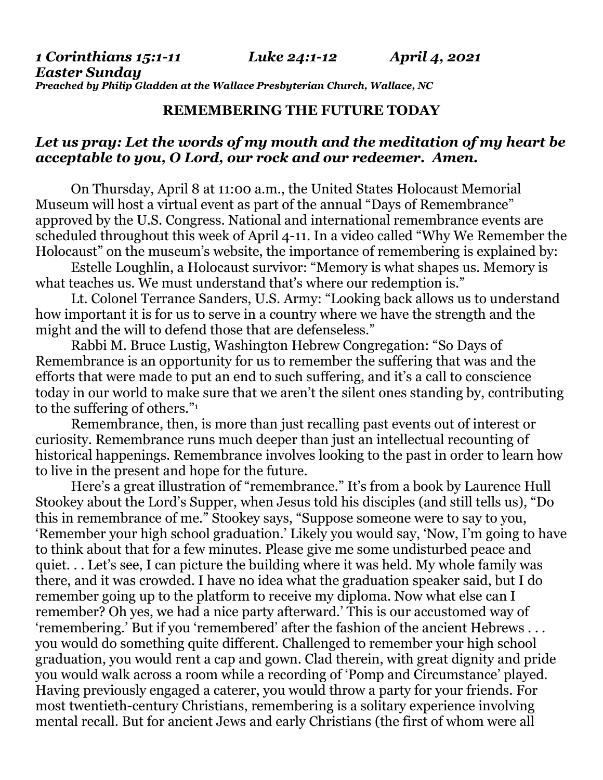*1 Corinthians 15:1-11 Luke 24:1-12 April 4, 2021 Easter Sunday Preached by Philip Gladden at the Wallace Presbyterian Church, Wallace, NC*

## **REMEMBERING THE FUTURE TODAY**

## *Let us pray: Let the words of my mouth and the meditation of my heart be acceptable to you, O Lord, our rock and our redeemer. Amen.*

On Thursday, April 8 at 11:00 a.m., the United States Holocaust Memorial Museum will host a virtual event as part of the annual "Days of Remembrance" approved by the U.S. Congress. National and international remembrance events are scheduled throughout this week of April 4-11. In a video called "Why We Remember the Holocaust" on the museum's website, the importance of remembering is explained by:

Estelle Loughlin, a Holocaust survivor: "Memory is what shapes us. Memory is what teaches us. We must understand that's where our redemption is."

Lt. Colonel Terrance Sanders, U.S. Army: "Looking back allows us to understand how important it is for us to serve in a country where we have the strength and the might and the will to defend those that are defenseless."

Rabbi M. Bruce Lustig, Washington Hebrew Congregation: "So Days of Remembrance is an opportunity for us to remember the suffering that was and the efforts that were made to put an end to such suffering, and it's a call to conscience today in our world to make sure that we aren't the silent ones standing by, contributing to the suffering of others."<sup>1</sup>

Remembrance, then, is more than just recalling past events out of interest or curiosity. Remembrance runs much deeper than just an intellectual recounting of historical happenings. Remembrance involves looking to the past in order to learn how to live in the present and hope for the future.

Here's a great illustration of "remembrance." It's from a book by Laurence Hull Stookey about the Lord's Supper, when Jesus told his disciples (and still tells us), "Do this in remembrance of me." Stookey says, "Suppose someone were to say to you, 'Remember your high school graduation.' Likely you would say, 'Now, I'm going to have to think about that for a few minutes. Please give me some undisturbed peace and quiet. . . Let's see, I can picture the building where it was held. My whole family was there, and it was crowded. I have no idea what the graduation speaker said, but I do remember going up to the platform to receive my diploma. Now what else can I remember? Oh yes, we had a nice party afterward.' This is our accustomed way of 'remembering.' But if you 'remembered' after the fashion of the ancient Hebrews . . . you would do something quite different. Challenged to remember your high school graduation, you would rent a cap and gown. Clad therein, with great dignity and pride you would walk across a room while a recording of 'Pomp and Circumstance' played. Having previously engaged a caterer, you would throw a party for your friends. For most twentieth-century Christians, remembering is a solitary experience involving mental recall. But for ancient Jews and early Christians (the first of whom were all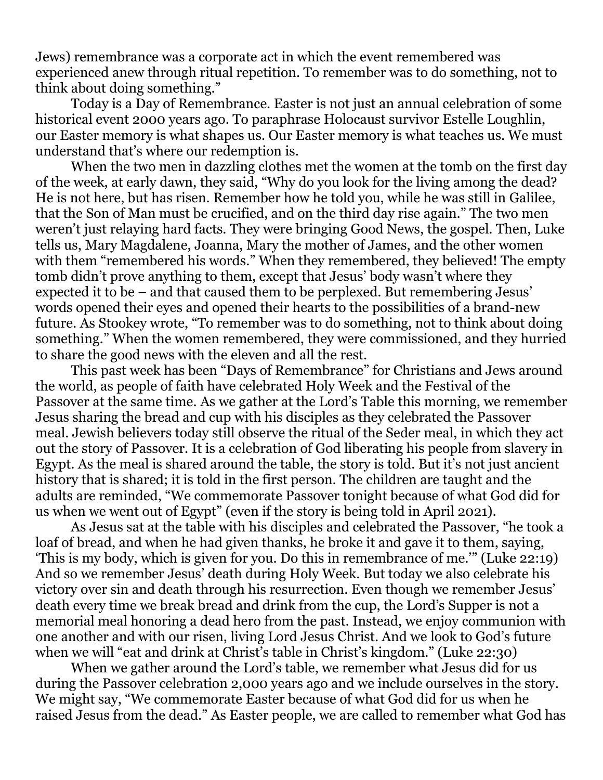Jews) remembrance was a corporate act in which the event remembered was experienced anew through ritual repetition. To remember was to do something, not to think about doing something."

Today is a Day of Remembrance. Easter is not just an annual celebration of some historical event 2000 years ago. To paraphrase Holocaust survivor Estelle Loughlin, our Easter memory is what shapes us. Our Easter memory is what teaches us. We must understand that's where our redemption is.

When the two men in dazzling clothes met the women at the tomb on the first day of the week, at early dawn, they said, "Why do you look for the living among the dead? He is not here, but has risen. Remember how he told you, while he was still in Galilee, that the Son of Man must be crucified, and on the third day rise again." The two men weren't just relaying hard facts. They were bringing Good News, the gospel. Then, Luke tells us, Mary Magdalene, Joanna, Mary the mother of James, and the other women with them "remembered his words." When they remembered, they believed! The empty tomb didn't prove anything to them, except that Jesus' body wasn't where they expected it to be – and that caused them to be perplexed. But remembering Jesus' words opened their eyes and opened their hearts to the possibilities of a brand-new future. As Stookey wrote, "To remember was to do something, not to think about doing something." When the women remembered, they were commissioned, and they hurried to share the good news with the eleven and all the rest.

This past week has been "Days of Remembrance" for Christians and Jews around the world, as people of faith have celebrated Holy Week and the Festival of the Passover at the same time. As we gather at the Lord's Table this morning, we remember Jesus sharing the bread and cup with his disciples as they celebrated the Passover meal. Jewish believers today still observe the ritual of the Seder meal, in which they act out the story of Passover. It is a celebration of God liberating his people from slavery in Egypt. As the meal is shared around the table, the story is told. But it's not just ancient history that is shared; it is told in the first person. The children are taught and the adults are reminded, "We commemorate Passover tonight because of what God did for us when we went out of Egypt" (even if the story is being told in April 2021).

As Jesus sat at the table with his disciples and celebrated the Passover, "he took a loaf of bread, and when he had given thanks, he broke it and gave it to them, saying, 'This is my body, which is given for you. Do this in remembrance of me.'" (Luke 22:19) And so we remember Jesus' death during Holy Week. But today we also celebrate his victory over sin and death through his resurrection. Even though we remember Jesus' death every time we break bread and drink from the cup, the Lord's Supper is not a memorial meal honoring a dead hero from the past. Instead, we enjoy communion with one another and with our risen, living Lord Jesus Christ. And we look to God's future when we will "eat and drink at Christ's table in Christ's kingdom." (Luke 22:30)

When we gather around the Lord's table, we remember what Jesus did for us during the Passover celebration 2,000 years ago and we include ourselves in the story. We might say, "We commemorate Easter because of what God did for us when he raised Jesus from the dead." As Easter people, we are called to remember what God has